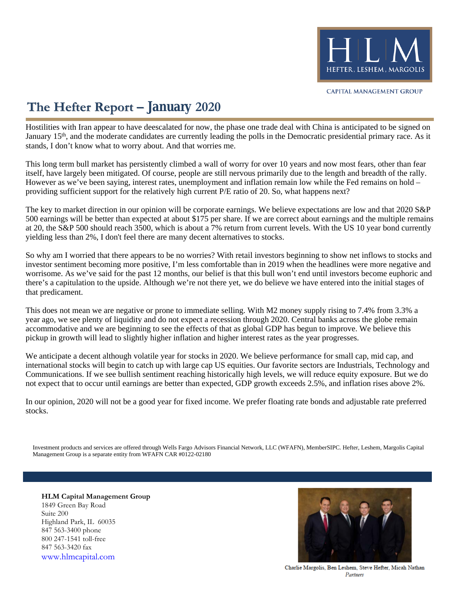

## **The Hefter Report – January 2020**

stands, I don't know what to worry about. And that worries me. January 15<sup>th</sup>, and the moderate candidates are currently leading the polls in the Democratic presidential primary race. As it Hostilities with Iran appear to have deescalated for now, the phase one trade deal with China is anticipated to be signed on

providing sufficient support for the relatively high current P/E ratio of 20. So, what happens next? However as we've been saying, interest rates, unemployment and inflation remain low while the Fed remains on hold – itself, have largely been mitigated. Of course, people are still nervous primarily due to the length and breadth of the rally. This long term bull market has persistently climbed a wall of worry for over 10 years and now most fears, other than fear

yielding less than 2%, I don't feel there are many decent alternatives to stocks. at 20, the S&P 500 should reach 3500, which is about a 7% return from current levels. With the US 10 year bond currently 500 earnings will be better than expected at about \$175 per share. If we are correct about earnings and the multiple remains The key to market direction in our opinion will be corporate earnings. We believe expectations are low and that 2020 S&P

that predicament. there's a capitulation to the upside. Although we're not there yet, we do believe we have entered into the initial stages of worrisome. As we've said for the past 12 months, our belief is that this bull won't end until investors become euphoric and investor sentiment becoming more positive, I'm less comfortable than in 2019 when the headlines were more negative and So why am I worried that there appears to be no worries? With retail investors beginning to show net inflows to stocks and

pickup in growth will lead to slightly higher inflation and higher interest rates as the year progresses. accommodative and we are beginning to see the effects of that as global GDP has begun to improve. We believe this year ago, we see plenty of liquidity and do not expect a recession through 2020. Central banks across the globe remain This does not mean we are negative or prone to immediate selling. With M2 money supply rising to 7.4% from 3.3% a

not expect that to occur until earnings are better than expected, GDP growth exceeds 2.5%, and inflation rises above 2%. Communications. If we see bullish sentiment reaching historically high levels, we will reduce equity exposure. But we do international stocks will begin to catch up with large cap US equities. Our favorite sectors are Industrials, Technology and We anticipate a decent although volatile year for stocks in 2020. We believe performance for small cap, mid cap, and

stocks. In our opinion, 2020 will not be a good year for fixed income. We prefer floating rate bonds and adjustable rate preferred

Management Group is a separate entity from WFAFN CAR #0122-02180 Investment products and services are offered through Wells Fargo Advisors Financial Network, LLC (WFAFN), MemberSIPC. Hefter, Leshem, Margolis Capital

**HLM Capital Management Group** 1849 Green Bay Road Suite 200 Highland Park, IL 60035 847 563-3400 phone 800 247-1541 toll-free 847 563-3420 fax [www.hlmcapital.com](http://www.hlmcapital.com/)



Charlie Margolis, Ben Leshem, Steve Hefter, Micah Nathan Partners